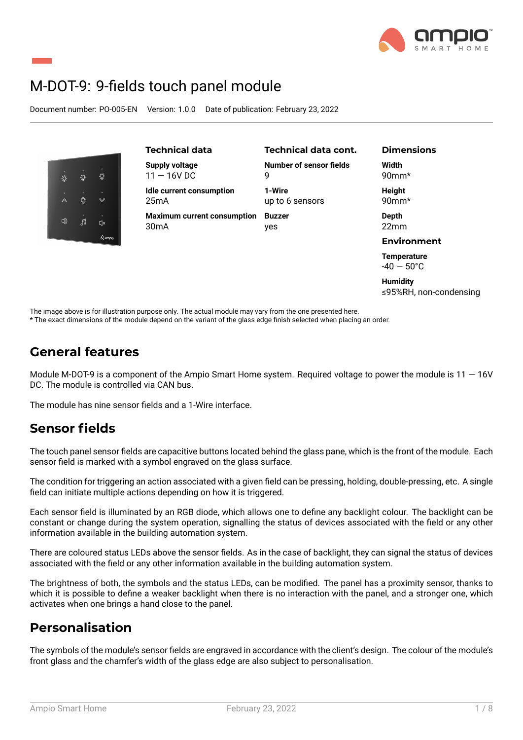

# M-DOT-9: 9-fields touch panel module

Document number: PO-005-EN Version: 1.0.0 Date of publication: February 23, 2022



≤95%RH, non-condensing

The image above is for illustration purpose only. The actual module may vary from the one presented here.

\* The exact dimensions of the module depend on the variant of the glass edge finish selected when placing an order.

## **General features**

Module M-DOT-9 is a component of the Ampio Smart Home system. Required voltage to power the module is  $11 - 16V$ DC. The module is controlled via CAN bus.

The module has nine sensor fields and a 1-Wire interface.

## **Sensor fields**

The touch panel sensor fields are capacitive buttons located behind the glass pane, which is the front of the module. Each sensor field is marked with a symbol engraved on the glass surface.

The condition for triggering an action associated with a given field can be pressing, holding, double-pressing, etc. A single field can initiate multiple actions depending on how it is triggered.

Each sensor field is illuminated by an RGB diode, which allows one to define any backlight colour. The backlight can be constant or change during the system operation, signalling the status of devices associated with the field or any other information available in the building automation system.

There are coloured status LEDs above the sensor fields. As in the case of backlight, they can signal the status of devices associated with the field or any other information available in the building automation system.

The brightness of both, the symbols and the status LEDs, can be modified. The panel has a proximity sensor, thanks to which it is possible to define a weaker backlight when there is no interaction with the panel, and a stronger one, which activates when one brings a hand close to the panel.

## **Personalisation**

The symbols of the module's sensor fields are engraved in accordance with the client's design. The colour of the module's front glass and the chamfer's width of the glass edge are also subject to personalisation.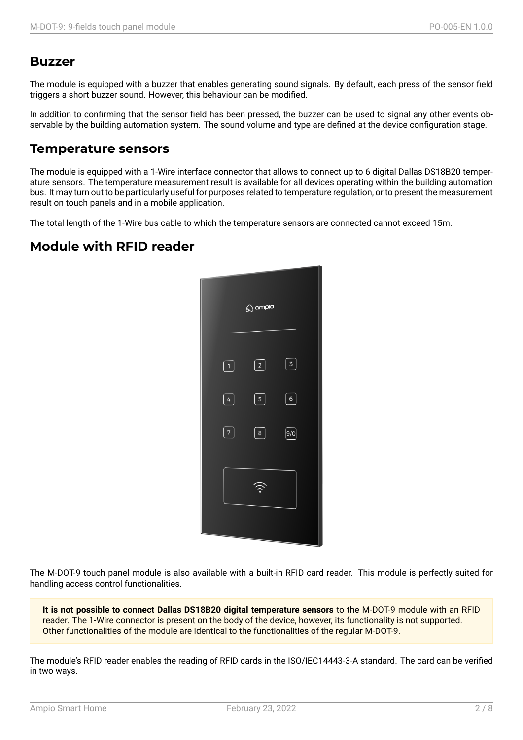### **Buzzer**

The module is equipped with a buzzer that enables generating sound signals. By default, each press of the sensor field triggers a short buzzer sound. However, this behaviour can be modified.

In addition to confirming that the sensor field has been pressed, the buzzer can be used to signal any other events observable by the building automation system. The sound volume and type are defined at the device configuration stage.

### **Temperature sensors**

The module is equipped with a 1-Wire interface connector that allows to connect up to 6 digital Dallas DS18B20 temperature sensors. The temperature measurement result is available for all devices operating within the building automation bus. It may turn out to be particularly useful for purposes related to temperature regulation, or to present the measurement result on touch panels and in a mobile application.

The total length of the 1-Wire bus cable to which the temperature sensors are connected cannot exceed 15m.

## **Module with RFID reader**



The M-DOT-9 touch panel module is also available with a built-in RFID card reader. This module is perfectly suited for handling access control functionalities.

**It is not possible to connect Dallas DS18B20 digital temperature sensors** to the M-DOT-9 module with an RFID reader. The 1-Wire connector is present on the body of the device, however, its functionality is not supported. Other functionalities of the module are identical to the functionalities of the regular M-DOT-9.

The module's RFID reader enables the reading of RFID cards in the ISO/IEC14443-3-A standard. The card can be verified in two ways.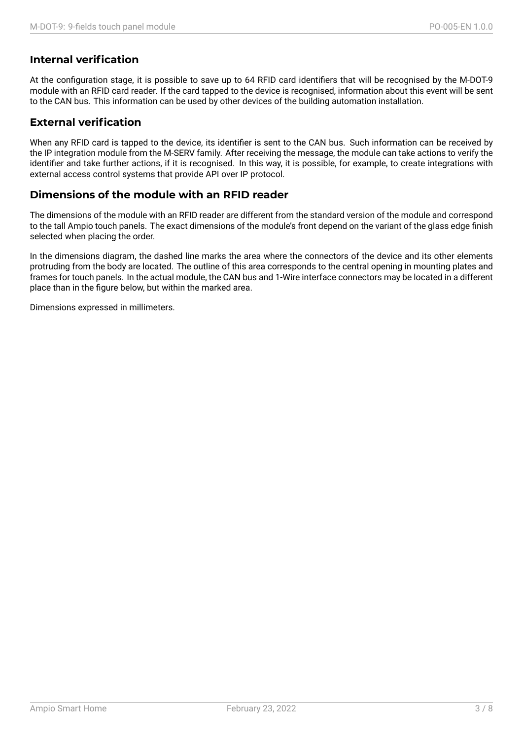#### **Internal verification**

At the configuration stage, it is possible to save up to 64 RFID card identifiers that will be recognised by the M-DOT-9 module with an RFID card reader. If the card tapped to the device is recognised, information about this event will be sent to the CAN bus. This information can be used by other devices of the building automation installation.

#### **External verification**

When any RFID card is tapped to the device, its identifier is sent to the CAN bus. Such information can be received by the IP integration module from the M-SERV family. After receiving the message, the module can take actions to verify the identifier and take further actions, if it is recognised. In this way, it is possible, for example, to create integrations with external access control systems that provide API over IP protocol.

#### **Dimensions of the module with an RFID reader**

The dimensions of the module with an RFID reader are different from the standard version of the module and correspond to the tall Ampio touch panels. The exact dimensions of the module's front depend on the variant of the glass edge finish selected when placing the order.

In the dimensions diagram, the dashed line marks the area where the connectors of the device and its other elements protruding from the body are located. The outline of this area corresponds to the central opening in mounting plates and frames for touch panels. In the actual module, the CAN bus and 1-Wire interface connectors may be located in a different place than in the figure below, but within the marked area.

Dimensions expressed in millimeters.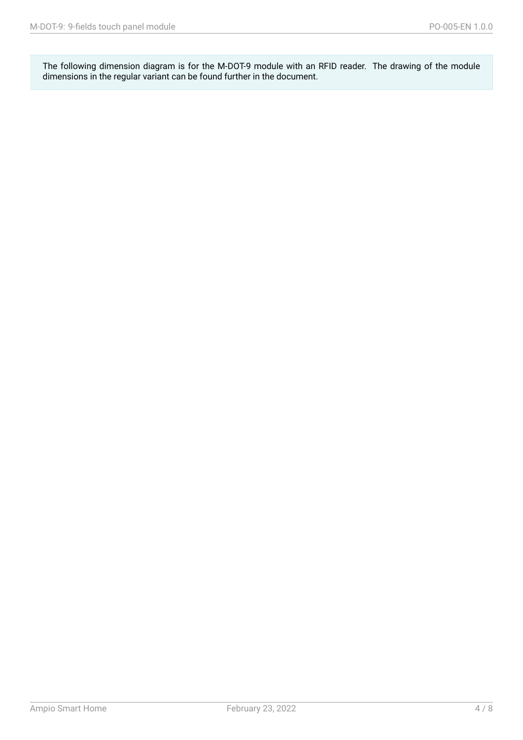The following dimension diagram is for the M-DOT-9 module with an RFID reader. The drawing of the module dimensions in the regular variant can be found further in the document.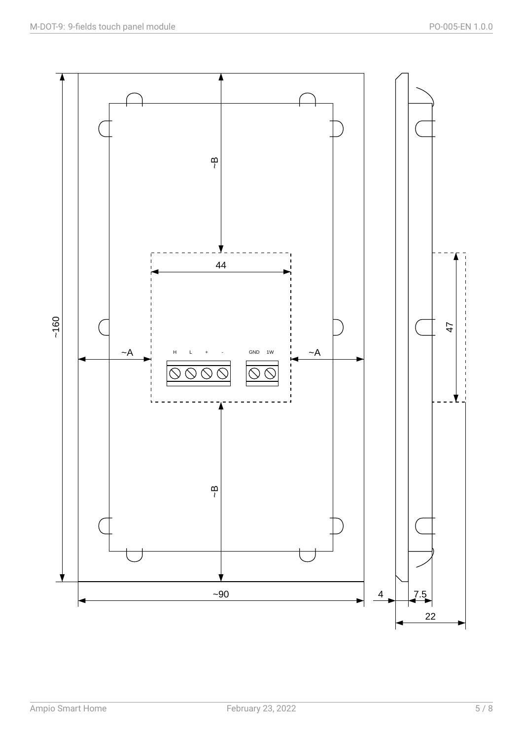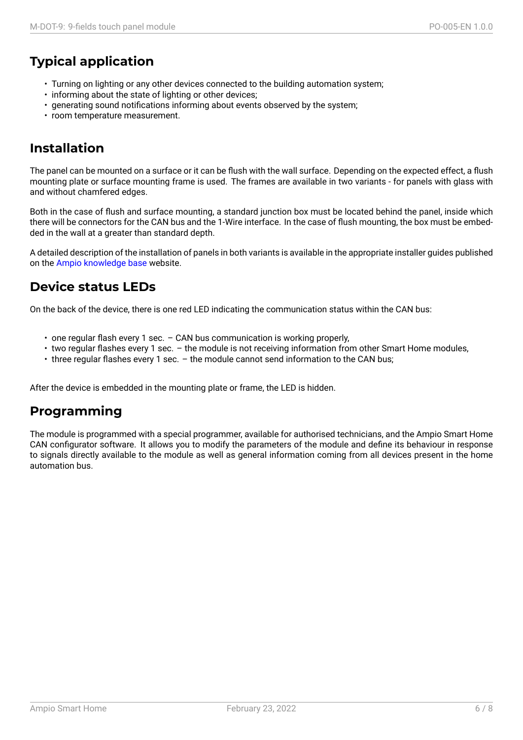# **Typical application**

- Turning on lighting or any other devices connected to the building automation system;
- informing about the state of lighting or other devices;
- generating sound notifications informing about events observed by the system;
- room temperature measurement.

## **Installation**

The panel can be mounted on a surface or it can be flush with the wall surface. Depending on the expected effect, a flush mounting plate or surface mounting frame is used. The frames are available in two variants - for panels with glass with and without chamfered edges.

Both in the case of flush and surface mounting, a standard junction box must be located behind the panel, inside which there will be connectors for the CAN bus and the 1-Wire interface. In the case of flush mounting, the box must be embedded in the wall at a greater than standard depth.

A detailed description of the installation of panels in both variants is available in the appropriate installer guides published on the Ampio knowledge base website.

## **Device status LEDs**

On the [back of the device, ther](https://help.ampio.com)e is one red LED indicating the communication status within the CAN bus:

- one regular flash every 1 sec. CAN bus communication is working properly,
- two regular flashes every 1 sec. the module is not receiving information from other Smart Home modules,
- three regular flashes every 1 sec. the module cannot send information to the CAN bus;

After the device is embedded in the mounting plate or frame, the LED is hidden.

## **Programming**

The module is programmed with a special programmer, available for authorised technicians, and the Ampio Smart Home CAN configurator software. It allows you to modify the parameters of the module and define its behaviour in response to signals directly available to the module as well as general information coming from all devices present in the home automation bus.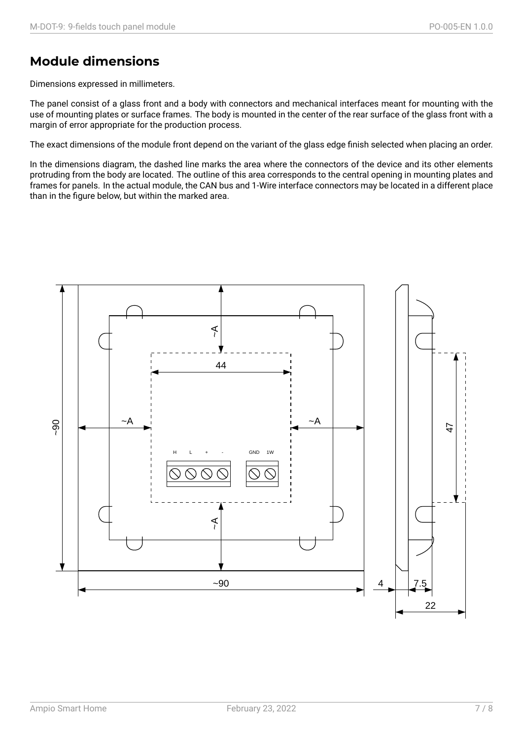## **Module dimensions**

Dimensions expressed in millimeters.

The panel consist of a glass front and a body with connectors and mechanical interfaces meant for mounting with the use of mounting plates or surface frames. The body is mounted in the center of the rear surface of the glass front with a margin of error appropriate for the production process.

The exact dimensions of the module front depend on the variant of the glass edge finish selected when placing an order.

In the dimensions diagram, the dashed line marks the area where the connectors of the device and its other elements protruding from the body are located. The outline of this area corresponds to the central opening in mounting plates and frames for panels. In the actual module, the CAN bus and 1-Wire interface connectors may be located in a different place than in the figure below, but within the marked area.